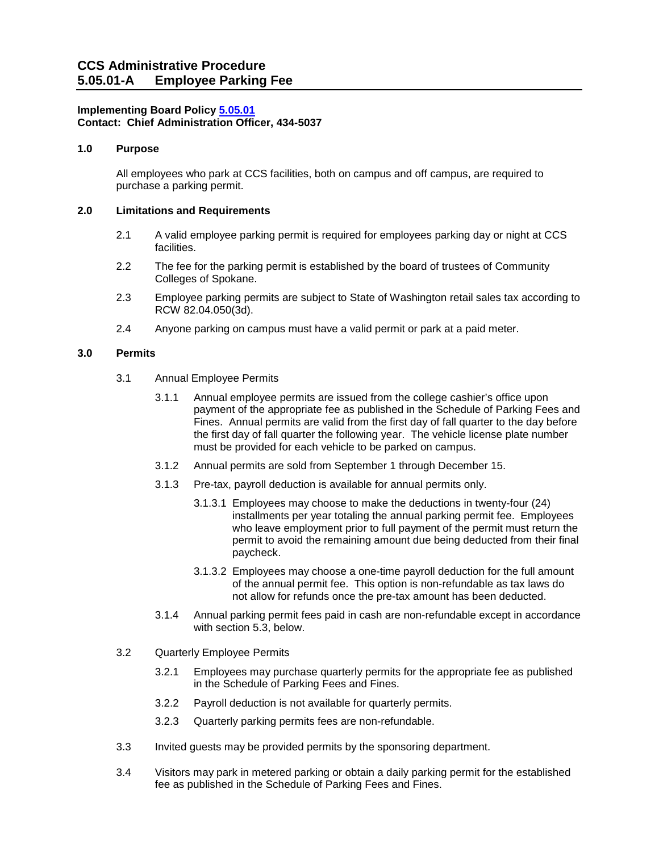## **Implementing Board Polic[y 5.05.01](https://ccs.spokane.edu/About-Us/Leadership/Board-of-Trustees/Policies-Procedures/Chapter5#AccWE2-1) Contact: Chief Administration Officer, 434-5037**

## **1.0 Purpose**

All employees who park at CCS facilities, both on campus and off campus, are required to purchase a parking permit.

#### **2.0 Limitations and Requirements**

- 2.1 A valid employee parking permit is required for employees parking day or night at CCS facilities.
- 2.2 The fee for the parking permit is established by the board of trustees of Community Colleges of Spokane.
- 2.3 Employee parking permits are subject to State of Washington retail sales tax according to RCW 82.04.050(3d).
- 2.4 Anyone parking on campus must have a valid permit or park at a paid meter.

## **3.0 Permits**

- 3.1 Annual Employee Permits
	- 3.1.1 Annual employee permits are issued from the college cashier's office upon payment of the appropriate fee as published in the Schedule of Parking Fees and Fines. Annual permits are valid from the first day of fall quarter to the day before the first day of fall quarter the following year. The vehicle license plate number must be provided for each vehicle to be parked on campus.
	- 3.1.2 Annual permits are sold from September 1 through December 15.
	- 3.1.3 Pre-tax, payroll deduction is available for annual permits only.
		- 3.1.3.1 Employees may choose to make the deductions in twenty-four (24) installments per year totaling the annual parking permit fee. Employees who leave employment prior to full payment of the permit must return the permit to avoid the remaining amount due being deducted from their final paycheck.
		- 3.1.3.2 Employees may choose a one-time payroll deduction for the full amount of the annual permit fee. This option is non-refundable as tax laws do not allow for refunds once the pre-tax amount has been deducted.
	- 3.1.4 Annual parking permit fees paid in cash are non-refundable except in accordance with section 5.3, below.
- 3.2 Quarterly Employee Permits
	- 3.2.1 Employees may purchase quarterly permits for the appropriate fee as published in the Schedule of Parking Fees and Fines.
	- 3.2.2 Payroll deduction is not available for quarterly permits.
	- 3.2.3 Quarterly parking permits fees are non-refundable.
- 3.3 Invited guests may be provided permits by the sponsoring department.
- 3.4 Visitors may park in metered parking or obtain a daily parking permit for the established fee as published in the Schedule of Parking Fees and Fines.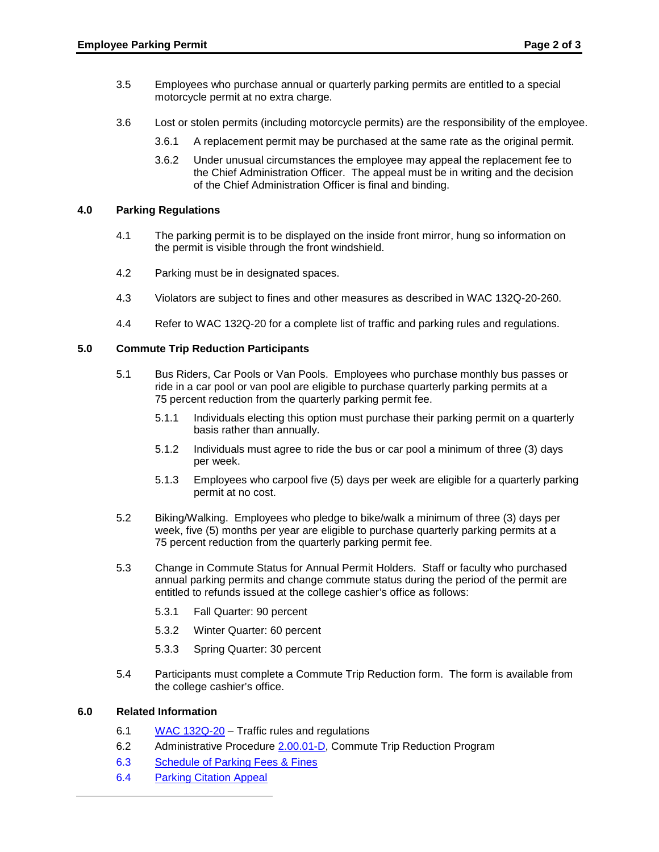- 3.5 Employees who purchase annual or quarterly parking permits are entitled to a special motorcycle permit at no extra charge.
- 3.6 Lost or stolen permits (including motorcycle permits) are the responsibility of the employee.
	- 3.6.1 A replacement permit may be purchased at the same rate as the original permit.
	- 3.6.2 Under unusual circumstances the employee may appeal the replacement fee to the Chief Administration Officer. The appeal must be in writing and the decision of the Chief Administration Officer is final and binding.

#### **4.0 Parking Regulations**

- 4.1 The parking permit is to be displayed on the inside front mirror, hung so information on the permit is visible through the front windshield.
- 4.2 Parking must be in designated spaces.
- 4.3 Violators are subject to fines and other measures as described in WAC 132Q-20-260.
- 4.4 Refer to WAC 132Q-20 for a complete list of traffic and parking rules and regulations.

# **5.0 Commute Trip Reduction Participants**

- 5.1 Bus Riders, Car Pools or Van Pools. Employees who purchase monthly bus passes or ride in a car pool or van pool are eligible to purchase quarterly parking permits at a 75 percent reduction from the quarterly parking permit fee.
	- 5.1.1 Individuals electing this option must purchase their parking permit on a quarterly basis rather than annually.
	- 5.1.2 Individuals must agree to ride the bus or car pool a minimum of three (3) days per week.
	- 5.1.3 Employees who carpool five (5) days per week are eligible for a quarterly parking permit at no cost.
- 5.2 Biking/Walking. Employees who pledge to bike/walk a minimum of three (3) days per week, five (5) months per year are eligible to purchase quarterly parking permits at a 75 percent reduction from the quarterly parking permit fee.
- 5.3 Change in Commute Status for Annual Permit Holders. Staff or faculty who purchased annual parking permits and change commute status during the period of the permit are entitled to refunds issued at the college cashier's office as follows:
	- 5.3.1 Fall Quarter: 90 percent
	- 5.3.2 Winter Quarter: 60 percent
	- 5.3.3 Spring Quarter: 30 percent
- 5.4 Participants must complete a Commute Trip Reduction form. The form is available from the college cashier's office.

## **6.0 Related Information**

- 6.1 [WAC 132Q-20](http://apps.leg.wa.gov/WAC/default.aspx?cite=132Q-20) Traffic rules and regulations
- 6.2 Administrative Procedure [2.00.01-D,](https://ccs.spokane.edu/ccsglobal/media/Global/PDFs/District/Policies/CH2/2.00.00_PersAdmin/2-00-01D_CommuteTrip.pdf) Commute Trip Reduction Program
- 6.3 [Schedule of Parking Fees & Fines](https://shared.spokane.edu/ccsglobal/media/Global/PDFs/District/BusinessOffice/ParkingFeeSchedule.pdf)
- 6.4 [Parking Citation Appeal](https://ccs.nupark.com/portal)